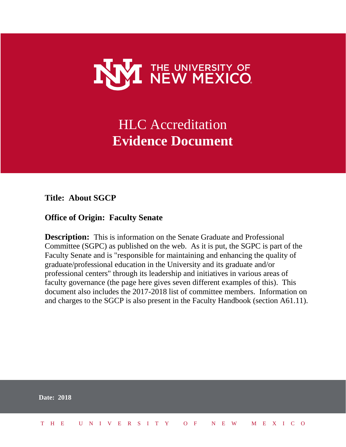

# HLC Accreditation **Evidence Document**

**Title: About SGCP**

#### **Office of Origin: Faculty Senate**

**Description:** This is information on the Senate Graduate and Professional Committee (SGPC) as published on the web. As it is put, the SGPC is part of the Faculty Senate and is "responsible for maintaining and enhancing the quality of graduate/professional education in the University and its graduate and/or professional centers" through its leadership and initiatives in various areas of faculty governance (the page here gives seven different examples of this). This document also includes the 2017-2018 list of committee members. Information on and charges to the SGCP is also present in the Faculty Handbook (section A61.11).

|  | <b>Date: 2018</b>            |  |  |  |  |  |  |  |  |  |  |  |  |
|--|------------------------------|--|--|--|--|--|--|--|--|--|--|--|--|
|  | THE UNIVERSITY OF NEW MEXICO |  |  |  |  |  |  |  |  |  |  |  |  |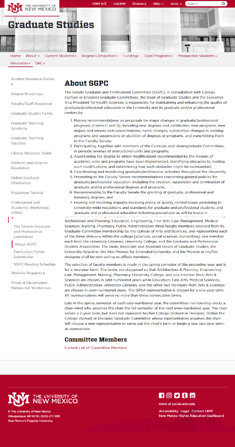

 $SKC$ Resources <del>v</del>

Funding $\star$ 

Prospective Students ▼

**Student Resource Guides** 

Degree Roadmaps

**Faculty/Staff Resources** 

**Graduate Studies Forms** 

**Graduate Teaching** Academy

**Graduate Teaching Tutorials** 

**Library Resource Guide** 

**Ombuds and Dispute Resolution** 

**Online Graduate** Orientation

Plagiarism Tutorial

Professional and **Academic Workshops** (PAW)

The Senate Graduate and Professional Committee

**About SGPC** 

**Curriculum Forms** Submission

**SGPC Meeting Schedule** 

Website Requests ▶

## **About SGPC**

The Senate Graduate and Professional Committee (SGPC), in consultation with College (School or Division) Graduate Committees, the Dean of Graduate Studies and the Executive Vice President for Health Sciences is responsible for maintaining and enhancing the quality of graduate/professional education in the University and its graduate and/or professional centers by

- 1. Making recommendations on proposals for major changes in graduate/professional programs (Forms C and D), including new degrees and certificates, new programs, new majors and minors and concentrations, name changes, substantive changes in existing programs and suspensions or abolition of degrees or programs, and transmitting them to the Faculty Senate;
- 2. Participating, together with members of the Curricula and Undergraduate Committees, in periodic reviews of instructional units and programs;
- 3. Ascertaining the degree to which modifications recommended by the reviews of academic units and programs have been implemented, identifying obstacles to making such modifications, and determining how such obstacles might be surmounted;
- 4. Coordinating and monitoring graduate/professional activities throughout the University;
- 5. Presenting to the Faculty Senate recommendations concerning general policies for graduate/professional education, including the creation, suspension and termination of graduate and/or professional degrees and programs;
- 6. Recommending to the Faculty Senate the granting of graduate, professional and honorary degrees; and
- 7. Hearing and resolving disputes involving policy or quality control issues pertaining to University-wide regulations and standards for graduate and professional students and graduate and professional education following procedures as will be found in

Architecture and Planning, Education, Engineering, Fine Arts, Law, Management, Medical Sciences, Nursing, Pharmacy, Public Administration; three faculty members selected from its Graduate Committee membership by the College of Arts and Sciences, one representing each of the three divisions within the college [sciences, social sciences, humanities], one member each from the University Libraries, University College, and the Graduate and Professional Student Association. The Dean, Associate and Assistant Deans of Graduate Studies, the University Registrar, the Vice Provost for Extended University, and the Provost or his/her designee shall be non-voting ex-officio members.

The selection of faculty members is made in the spring semester of the preceding year and is for a two-year term. The terms are staggered so that Architecture & Planning, Engineering, Law, Management, Nursing, Pharmacy, University College, and one member from Arts & Sciences are chosen in odd-numbered years while Education, Fine Arts, Medical Sciences, Public Administration, University Libraries, and the other two members from Arts & Sciences are chosen in even-numbered years. The GPSA representative is chosen for a one-year term. All representatives will serve no more than three consecutive terms.

**Thesis & Dissertation Manuscript Workshops** 

> Late in the spring semester of each odd-numbered year, the committee membership elects a chair-elect who assumes the chair the fall semester of the next even numbered year. The chair serves a 2-year term, but does not represent his/her College (School or Division). Rather the College (School or Division) Graduate Committee whose representative assumes the chair will choose a new representative to serve out the chair's term or begin a new two-year term, as appropriate.

#### **Committee Members**

**Current List of Committee Members** 



© The University of New Mexico Albuquerque, NM 87131, (505) 277-0111 **New Mexico's Flagship University** 



more at social.unm.edu

**Accessibility Legal Contact UNM** New Mexico Higher Education Dashboard